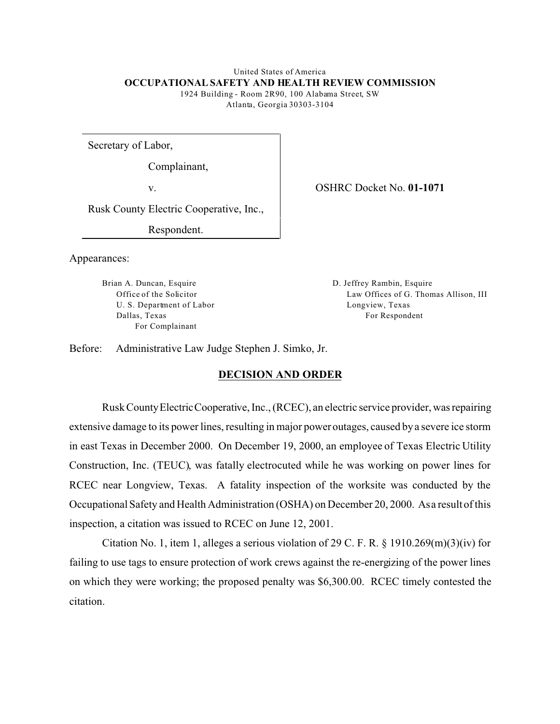### United States of America **OCCUPATIONAL SAFETY AND HEALTH REVIEW COMMISSION**

1924 Building - Room 2R90, 100 Alabama Street, SW Atlanta, Georgia 30303-3104

Secretary of Labor,

Complainant,

v.

Rusk County Electric Cooperative, Inc.,

Respondent.

Appearances:

Brian A. Duncan, Esquire Office of the Solicitor U. S. Department of Labor Dallas, Texas For Complainant

OSHRC Docket No. **01-1071** 

D. Jeffrey Rambin, Esquire Law Offices of G. Thomas Allison, III Longview, Texas For Respondent

Before: Administrative Law Judge Stephen J. Simko, Jr.

# **DECISION AND ORDER**

Rusk CountyElectricCooperative, Inc., (RCEC), an electric service provider, was repairing extensive damage to its power lines, resulting in major power outages, caused by a severe ice storm in east Texas in December 2000. On December 19, 2000, an employee of Texas Electric Utility Construction, Inc. (TEUC), was fatally electrocuted while he was working on power lines for RCEC near Longview, Texas. A fatality inspection of the worksite was conducted by the Occupational Safety and Health Administration (OSHA) on December 20, 2000. Asa result of this inspection, a citation was issued to RCEC on June 12, 2001.

Citation No. 1, item 1, alleges a serious violation of 29 C. F. R.  $\S$  1910.269(m)(3)(iv) for failing to use tags to ensure protection of work crews against the re-energizing of the power lines on which they were working; the proposed penalty was \$6,300.00. RCEC timely contested the citation.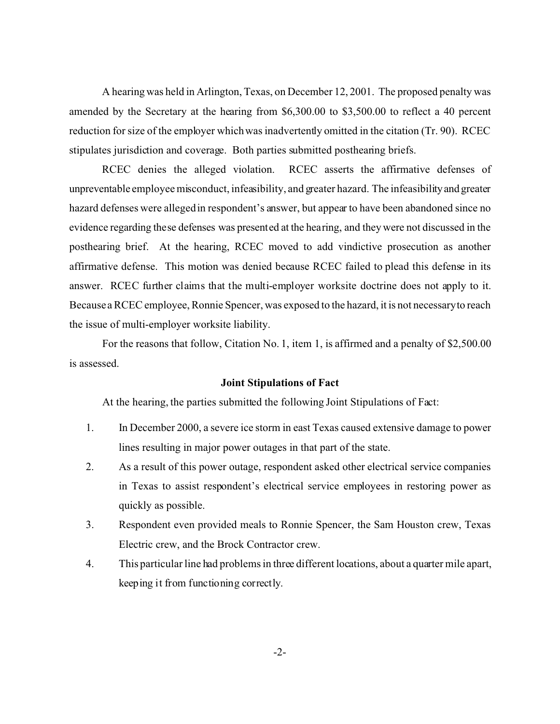A hearing was held in Arlington, Texas, on December 12, 2001. The proposed penalty was amended by the Secretary at the hearing from \$6,300.00 to \$3,500.00 to reflect a 40 percent reduction for size of the employer which was inadvertently omitted in the citation (Tr. 90). RCEC stipulates jurisdiction and coverage. Both parties submitted posthearing briefs.

RCEC denies the alleged violation. RCEC asserts the affirmative defenses of unpreventable employee misconduct, infeasibility, and greater hazard. The infeasibilityand greater hazard defenses were alleged in respondent's answer, but appear to have been abandoned since no evidence regarding these defenses was presented at the hearing, and they were not discussed in the posthearing brief. At the hearing, RCEC moved to add vindictive prosecution as another affirmative defense. This motion was denied because RCEC failed to plead this defense in its answer. RCEC further claims that the multi-employer worksite doctrine does not apply to it. Because a RCEC employee, Ronnie Spencer, was exposed to the hazard, it is not necessaryto reach the issue of multi-employer worksite liability.

For the reasons that follow, Citation No. 1, item 1, is affirmed and a penalty of \$2,500.00 is assessed.

### **Joint Stipulations of Fact**

At the hearing, the parties submitted the following Joint Stipulations of Fact:

- 1. In December 2000, a severe ice storm in east Texas caused extensive damage to power lines resulting in major power outages in that part of the state.
- 2. As a result of this power outage, respondent asked other electrical service companies in Texas to assist respondent's electrical service employees in restoring power as quickly as possible.
- 3. Respondent even provided meals to Ronnie Spencer, the Sam Houston crew, Texas Electric crew, and the Brock Contractor crew.
- 4. This particular line had problems in three different locations, about a quarter mile apart, keeping it from functioning correctly.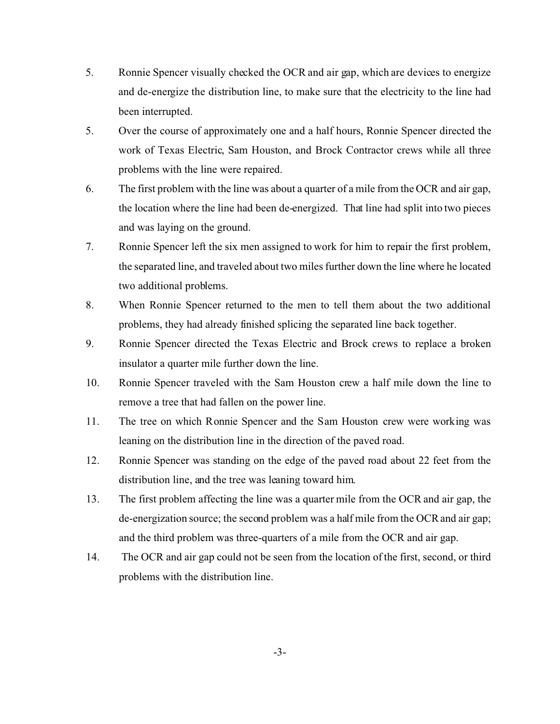- 5. Ronnie Spencer visually checked the OCR and air gap, which are devices to energize and de-energize the distribution line, to make sure that the electricity to the line had been interrupted.
- 5. Over the course of approximately one and a half hours, Ronnie Spencer directed the work of Texas Electric, Sam Houston, and Brock Contractor crews while all three problems with the line were repaired.
- 6. The first problem with the line was about a quarter of a mile from the OCR and air gap, the location where the line had been de-energized. That line had split into two pieces and was laying on the ground.
- 7. Ronnie Spencer left the six men assigned to work for him to repair the first problem, the separated line, and traveled about two miles further down the line where he located two additional problems.
- 8. When Ronnie Spencer returned to the men to tell them about the two additional problems, they had already finished splicing the separated line back together.
- 9. Ronnie Spencer directed the Texas Electric and Brock crews to replace a broken insulator a quarter mile further down the line.
- 10. Ronnie Spencer traveled with the Sam Houston crew a half mile down the line to remove a tree that had fallen on the power line.
- 11. The tree on which Ronnie Spencer and the Sam Houston crew were working was leaning on the distribution line in the direction of the paved road.
- 12. Ronnie Spencer was standing on the edge of the paved road about 22 feet from the distribution line, and the tree was leaning toward him.
- 13. The first problem affecting the line was a quarter mile from the OCR and air gap, the de-energization source; the second problem was a half mile from the OCR and air gap; and the third problem was three-quarters of a mile from the OCR and air gap.
- 14. The OCR and air gap could not be seen from the location of the first, second, or third problems with the distribution line.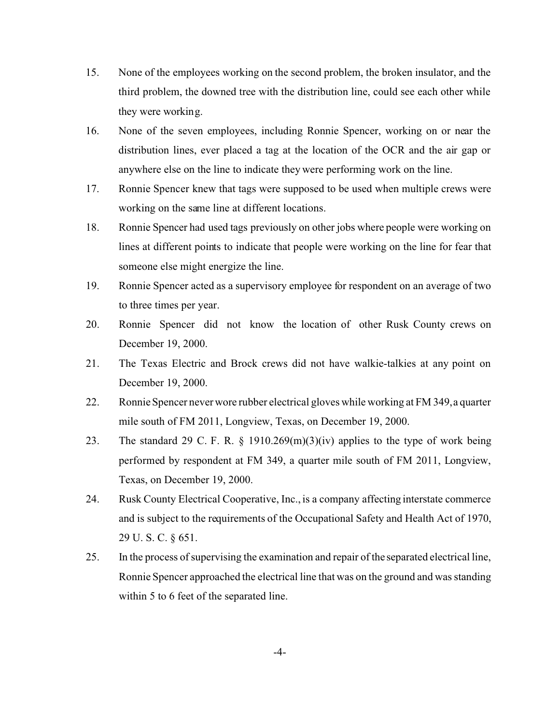- 15. None of the employees working on the second problem, the broken insulator, and the third problem, the downed tree with the distribution line, could see each other while they were working.
- 16. None of the seven employees, including Ronnie Spencer, working on or near the distribution lines, ever placed a tag at the location of the OCR and the air gap or anywhere else on the line to indicate they were performing work on the line.
- 17. Ronnie Spencer knew that tags were supposed to be used when multiple crews were working on the same line at different locations.
- 18. Ronnie Spencer had used tags previously on other jobs where people were working on lines at different points to indicate that people were working on the line for fear that someone else might energize the line.
- 19. Ronnie Spencer acted as a supervisory employee for respondent on an average of two to three times per year.
- 20. Ronnie Spencer did not know the location of other Rusk County crews on December 19, 2000.
- 21. The Texas Electric and Brock crews did not have walkie-talkies at any point on December 19, 2000.
- 22. Ronnie Spencer never wore rubber electrical gloves while working at FM 349, a quarter mile south of FM 2011, Longview, Texas, on December 19, 2000.
- 23. The standard 29 C. F. R.  $\S$  1910.269(m)(3)(iv) applies to the type of work being performed by respondent at FM 349, a quarter mile south of FM 2011, Longview, Texas, on December 19, 2000.
- 24. Rusk County Electrical Cooperative, Inc., is a company affecting interstate commerce and is subject to the requirements of the Occupational Safety and Health Act of 1970, 29 U. S. C. § 651.
- 25. In the process of supervising the examination and repair of the separated electrical line, Ronnie Spencer approached the electrical line that was on the ground and was standing within 5 to 6 feet of the separated line.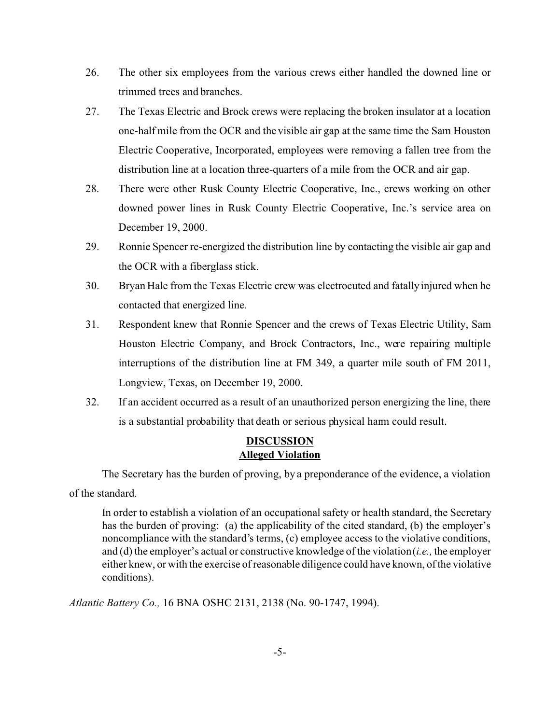- 26. The other six employees from the various crews either handled the downed line or trimmed trees and branches.
- 27. The Texas Electric and Brock crews were replacing the broken insulator at a location one-half mile from the OCR and the visible air gap at the same time the Sam Houston Electric Cooperative, Incorporated, employees were removing a fallen tree from the distribution line at a location three-quarters of a mile from the OCR and air gap.
- 28. There were other Rusk County Electric Cooperative, Inc., crews working on other downed power lines in Rusk County Electric Cooperative, Inc.'s service area on December 19, 2000.
- 29. Ronnie Spencer re-energized the distribution line by contacting the visible air gap and the OCR with a fiberglass stick.
- 30. Bryan Hale from the Texas Electric crew was electrocuted and fatally injured when he contacted that energized line.
- 31. Respondent knew that Ronnie Spencer and the crews of Texas Electric Utility, Sam Houston Electric Company, and Brock Contractors, Inc., were repairing multiple interruptions of the distribution line at FM 349, a quarter mile south of FM 2011, Longview, Texas, on December 19, 2000.
- 32. If an accident occurred as a result of an unauthorized person energizing the line, there is a substantial probability that death or serious physical harm could result.

# **DISCUSSION Alleged Violation**

The Secretary has the burden of proving, by a preponderance of the evidence, a violation of the standard.

In order to establish a violation of an occupational safety or health standard, the Secretary has the burden of proving: (a) the applicability of the cited standard, (b) the employer's noncompliance with the standard's terms, (c) employee access to the violative conditions, and (d) the employer's actual or constructive knowledge of the violation (*i.e.,* the employer either knew, or with the exercise of reasonable diligence could have known, of the violative conditions).

*Atlantic Battery Co.,* 16 BNA OSHC 2131, 2138 (No. 90-1747, 1994).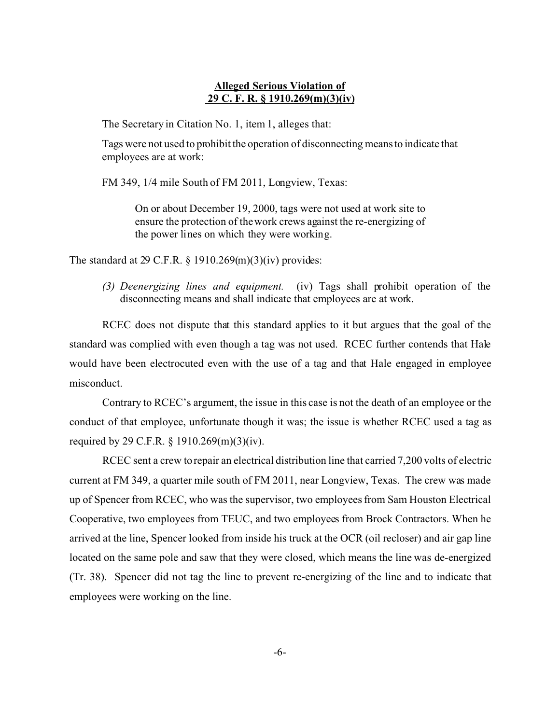# **Alleged Serious Violation of 29 C. F. R. § 1910.269(m)(3)(iv)**

The Secretary in Citation No. 1, item 1, alleges that:

Tags were not used to prohibit the operation of disconnecting means to indicate that employees are at work:

FM 349, 1/4 mile South of FM 2011, Longview, Texas:

On or about December 19, 2000, tags were not used at work site to ensure the protection of the work crews against the re-energizing of the power lines on which they were working.

The standard at 29 C.F.R.  $\S$  1910.269(m)(3)(iv) provides:

*(3) Deenergizing lines and equipment.* (iv) Tags shall prohibit operation of the disconnecting means and shall indicate that employees are at work.

RCEC does not dispute that this standard applies to it but argues that the goal of the standard was complied with even though a tag was not used. RCEC further contends that Hale would have been electrocuted even with the use of a tag and that Hale engaged in employee misconduct.

Contrary to RCEC's argument, the issue in this case is not the death of an employee or the conduct of that employee, unfortunate though it was; the issue is whether RCEC used a tag as required by 29 C.F.R. § 1910.269(m)(3)(iv).

RCEC sent a crew to repair an electrical distribution line that carried 7,200 volts of electric current at FM 349, a quarter mile south of FM 2011, near Longview, Texas. The crew was made up of Spencer from RCEC, who was the supervisor, two employees from Sam Houston Electrical Cooperative, two employees from TEUC, and two employees from Brock Contractors. When he arrived at the line, Spencer looked from inside his truck at the OCR (oil recloser) and air gap line located on the same pole and saw that they were closed, which means the line was de-energized (Tr. 38). Spencer did not tag the line to prevent re-energizing of the line and to indicate that employees were working on the line.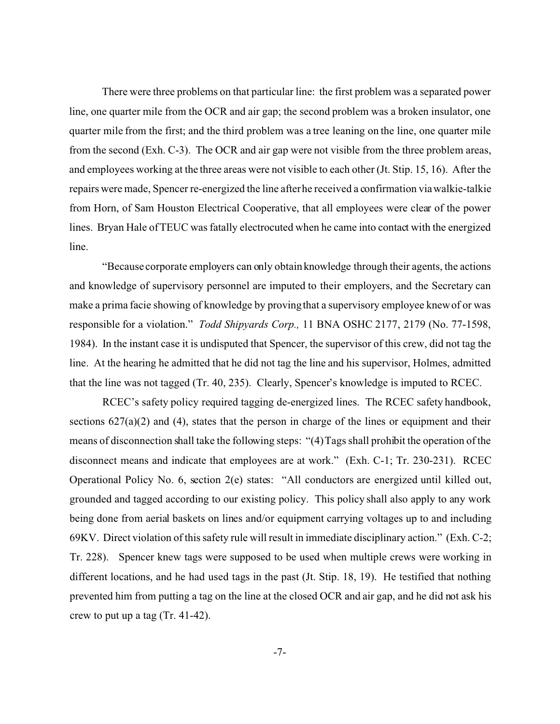There were three problems on that particular line: the first problem was a separated power line, one quarter mile from the OCR and air gap; the second problem was a broken insulator, one quarter mile from the first; and the third problem was a tree leaning on the line, one quarter mile from the second (Exh. C-3). The OCR and air gap were not visible from the three problem areas, and employees working at the three areas were not visible to each other (Jt. Stip. 15, 16). After the repairs were made, Spencer re-energized the line after he received a confirmation via walkie-talkie from Horn, of Sam Houston Electrical Cooperative, that all employees were clear of the power lines. Bryan Hale of TEUC was fatally electrocuted when he came into contact with the energized line.

"Because corporate employers can only obtain knowledge through their agents, the actions and knowledge of supervisory personnel are imputed to their employers, and the Secretary can make a prima facie showing of knowledge by proving that a supervisory employee knew of or was responsible for a violation." *Todd Shipyards Corp.,* 11 BNA OSHC 2177, 2179 (No. 77-1598, 1984). In the instant case it is undisputed that Spencer, the supervisor of this crew, did not tag the line. At the hearing he admitted that he did not tag the line and his supervisor, Holmes, admitted that the line was not tagged (Tr. 40, 235). Clearly, Spencer's knowledge is imputed to RCEC.

RCEC's safety policy required tagging de-energized lines. The RCEC safety handbook, sections  $627(a)(2)$  and (4), states that the person in charge of the lines or equipment and their means of disconnection shall take the following steps: "(4) Tags shall prohibit the operation of the disconnect means and indicate that employees are at work." (Exh. C-1; Tr. 230-231). RCEC Operational Policy No. 6, section 2(e) states: "All conductors are energized until killed out, grounded and tagged according to our existing policy. This policy shall also apply to any work being done from aerial baskets on lines and/or equipment carrying voltages up to and including 69KV. Direct violation of this safety rule will result in immediate disciplinary action." (Exh. C-2; Tr. 228). Spencer knew tags were supposed to be used when multiple crews were working in different locations, and he had used tags in the past (Jt. Stip. 18, 19). He testified that nothing prevented him from putting a tag on the line at the closed OCR and air gap, and he did not ask his crew to put up a tag (Tr. 41-42).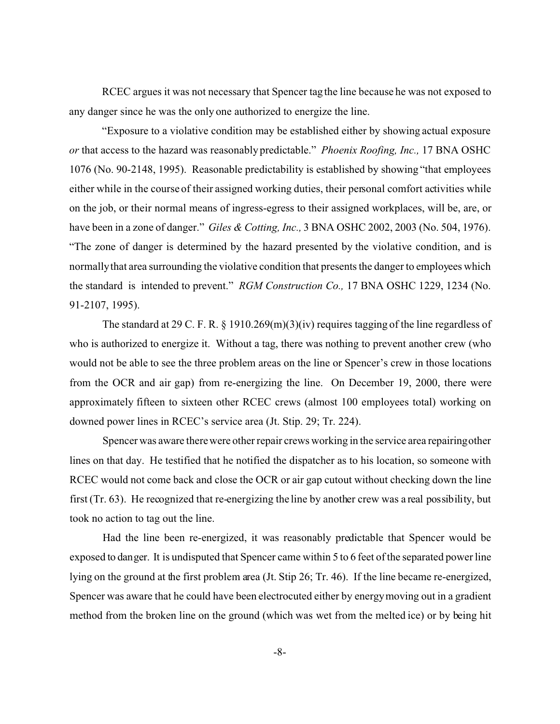RCEC argues it was not necessary that Spencer tag the line because he was not exposed to any danger since he was the only one authorized to energize the line.

"Exposure to a violative condition may be established either by showing actual exposure *or* that access to the hazard was reasonably predictable." *Phoenix Roofing, Inc.,* 17 BNA OSHC 1076 (No. 90-2148, 1995). Reasonable predictability is established by showing "that employees either while in the course of their assigned working duties, their personal comfort activities while on the job, or their normal means of ingress-egress to their assigned workplaces, will be, are, or have been in a zone of danger." *Giles & Cotting, Inc.,* 3 BNA OSHC 2002, 2003 (No. 504, 1976). "The zone of danger is determined by the hazard presented by the violative condition, and is normallythat area surrounding the violative condition that presents the danger to employees which the standard is intended to prevent." *RGM Construction Co.,* 17 BNA OSHC 1229, 1234 (No. 91-2107, 1995).

The standard at 29 C. F. R. § 1910.269(m)(3)(iv) requires tagging of the line regardless of who is authorized to energize it. Without a tag, there was nothing to prevent another crew (who would not be able to see the three problem areas on the line or Spencer's crew in those locations from the OCR and air gap) from re-energizing the line. On December 19, 2000, there were approximately fifteen to sixteen other RCEC crews (almost 100 employees total) working on downed power lines in RCEC's service area (Jt. Stip. 29; Tr. 224).

Spencer was aware there were other repair crews working in the service area repairingother lines on that day. He testified that he notified the dispatcher as to his location, so someone with RCEC would not come back and close the OCR or air gap cutout without checking down the line first (Tr. 63). He recognized that re-energizing the line by another crew was a real possibility, but took no action to tag out the line.

Had the line been re-energized, it was reasonably predictable that Spencer would be exposed to danger. It is undisputed that Spencer came within 5 to 6 feet of the separated power line lying on the ground at the first problem area (Jt. Stip 26; Tr. 46). If the line became re-energized, Spencer was aware that he could have been electrocuted either by energy moving out in a gradient method from the broken line on the ground (which was wet from the melted ice) or by being hit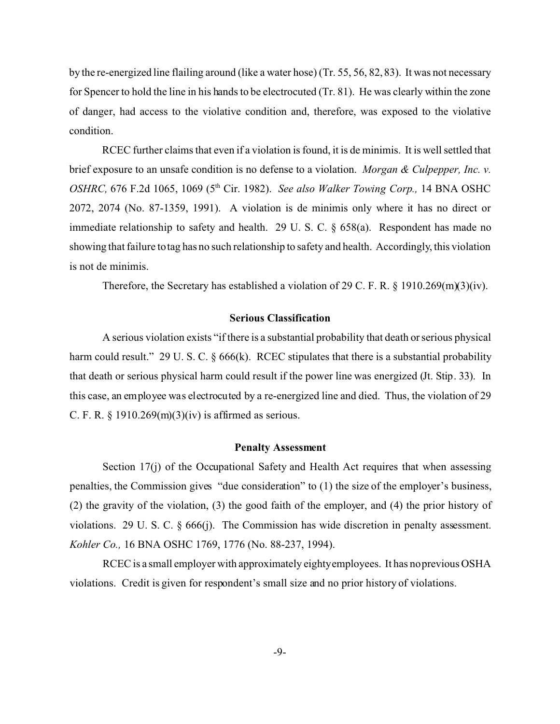by the re-energized line flailing around (like a water hose) (Tr. 55, 56, 82, 83). It was not necessary for Spencer to hold the line in his hands to be electrocuted (Tr. 81). He was clearly within the zone of danger, had access to the violative condition and, therefore, was exposed to the violative condition.

RCEC further claims that even if a violation is found, it is de minimis. It is well settled that brief exposure to an unsafe condition is no defense to a violation. *Morgan & Culpepper, Inc. v. OSHRC,* 676 F.2d 1065, 1069 (5th Cir. 1982). *See also Walker Towing Corp.,* 14 BNA OSHC 2072, 2074 (No. 87-1359, 1991). A violation is de minimis only where it has no direct or immediate relationship to safety and health. 29 U. S. C.  $\S$  658(a). Respondent has made no showing that failure to tag has no such relationship to safety and health. Accordingly, this violation is not de minimis.

Therefore, the Secretary has established a violation of 29 C. F. R. § 1910.269(m)(3)(iv).

### **Serious Classification**

A serious violation exists "if there is a substantial probability that death or serious physical harm could result." 29 U. S. C. § 666(k). RCEC stipulates that there is a substantial probability that death or serious physical harm could result if the power line was energized (Jt. Stip. 33). In this case, an employee was electrocuted by a re-energized line and died. Thus, the violation of 29 C. F. R.  $\S$  1910.269(m)(3)(iv) is affirmed as serious.

### **Penalty Assessment**

Section 17(j) of the Occupational Safety and Health Act requires that when assessing penalties, the Commission gives "due consideration" to (1) the size of the employer's business, (2) the gravity of the violation, (3) the good faith of the employer, and (4) the prior history of violations. 29 U. S. C. § 666(j). The Commission has wide discretion in penalty assessment. *Kohler Co.,* 16 BNA OSHC 1769, 1776 (No. 88-237, 1994).

RCEC is a small employer with approximately eightyemployees. It has no previous OSHA violations. Credit is given for respondent's small size and no prior history of violations.